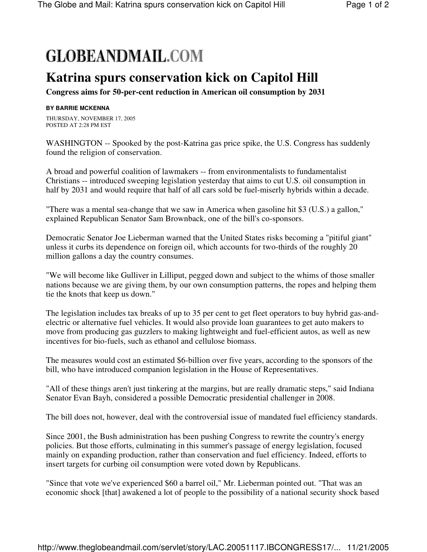## **GLOBEANDMAIL.COM**

## **Katrina spurs conservation kick on Capitol Hill**

**Congress aims for 50-per-cent reduction in American oil consumption by 2031**

## **BY BARRIE MCKENNA**

THURSDAY, NOVEMBER 17, 2005 POSTED AT 2:28 PM EST

WASHINGTON -- Spooked by the post-Katrina gas price spike, the U.S. Congress has suddenly found the religion of conservation.

A broad and powerful coalition of lawmakers -- from environmentalists to fundamentalist Christians -- introduced sweeping legislation yesterday that aims to cut U.S. oil consumption in half by 2031 and would require that half of all cars sold be fuel-miserly hybrids within a decade.

"There was a mental sea-change that we saw in America when gasoline hit \$3 (U.S.) a gallon," explained Republican Senator Sam Brownback, one of the bill's co-sponsors.

Democratic Senator Joe Lieberman warned that the United States risks becoming a "pitiful giant" unless it curbs its dependence on foreign oil, which accounts for two-thirds of the roughly 20 million gallons a day the country consumes.

"We will become like Gulliver in Lilliput, pegged down and subject to the whims of those smaller nations because we are giving them, by our own consumption patterns, the ropes and helping them tie the knots that keep us down."

The legislation includes tax breaks of up to 35 per cent to get fleet operators to buy hybrid gas-andelectric or alternative fuel vehicles. It would also provide loan guarantees to get auto makers to move from producing gas guzzlers to making lightweight and fuel-efficient autos, as well as new incentives for bio-fuels, such as ethanol and cellulose biomass.

The measures would cost an estimated \$6-billion over five years, according to the sponsors of the bill, who have introduced companion legislation in the House of Representatives.

"All of these things aren't just tinkering at the margins, but are really dramatic steps," said Indiana Senator Evan Bayh, considered a possible Democratic presidential challenger in 2008.

The bill does not, however, deal with the controversial issue of mandated fuel efficiency standards.

Since 2001, the Bush administration has been pushing Congress to rewrite the country's energy policies. But those efforts, culminating in this summer's passage of energy legislation, focused mainly on expanding production, rather than conservation and fuel efficiency. Indeed, efforts to insert targets for curbing oil consumption were voted down by Republicans.

"Since that vote we've experienced \$60 a barrel oil," Mr. Lieberman pointed out. "That was an economic shock [that] awakened a lot of people to the possibility of a national security shock based